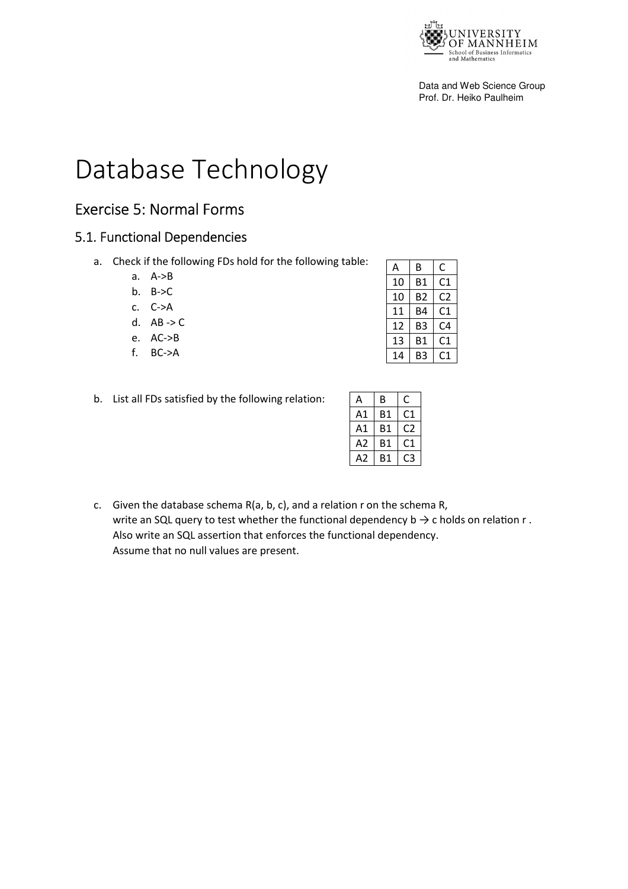

Data and Web Science Group Prof. Dr. Heiko Paulheim

# Database Technology

# Exercise 5: Normal Forms

## 5.1. Functional Dependencies

- a. Check if the following FDs hold for the following table:
	- a. A->B
	- b.  $B->C$
	- c. C->A
	- d. AB -> C
	- e. AC->B
	- f. BC->A

|  | b. List all FDs satisfied by the following relation: |
|--|------------------------------------------------------|

| А  | В  | C  |
|----|----|----|
| 10 | Β1 | C1 |
| 10 | B2 | C2 |
| 11 | B4 | C1 |
| 12 | B3 | C4 |
| 13 | Β1 | C1 |
| 14 | B3 |    |

| Α      | В  | Γ   |
|--------|----|-----|
| Α1     | Β1 | C1  |
| Α1     | Β1 | ر ا |
| Α2     | Β1 | C1  |
| А<br>2 | Β1 | ≺   |

c. Given the database schema R(a, b, c), and a relation r on the schema R, write an SQL query to test whether the functional dependency  $b \rightarrow c$  holds on relation r. Also write an SQL assertion that enforces the functional dependency. Assume that no null values are present.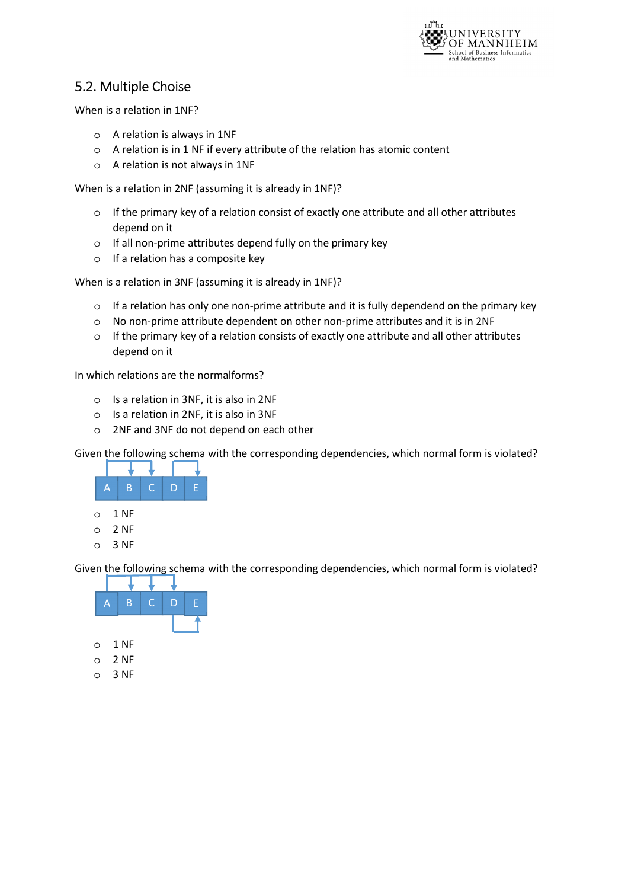

# 5.2. Multiple Choise

When is a relation in 1NF?

- o A relation is always in 1NF
- o A relation is in 1 NF if every attribute of the relation has atomic content
- o A relation is not always in 1NF

When is a relation in 2NF (assuming it is already in 1NF)?

- $\circ$  If the primary key of a relation consist of exactly one attribute and all other attributes depend on it
- o If all non-prime attributes depend fully on the primary key
- o If a relation has a composite key

When is a relation in 3NF (assuming it is already in 1NF)?

- o If a relation has only one non-prime attribute and it is fully dependend on the primary key
- o No non-prime attribute dependent on other non-prime attributes and it is in 2NF
- $\circ$  If the primary key of a relation consists of exactly one attribute and all other attributes depend on it

In which relations are the normalforms?

- o Is a relation in 3NF, it is also in 2NF
- o Is a relation in 2NF, it is also in 3NF
- o 2NF and 3NF do not depend on each other

Given the following schema with the corresponding dependencies, which normal form is violated?



Given the following schema with the corresponding dependencies, which normal form is violated?